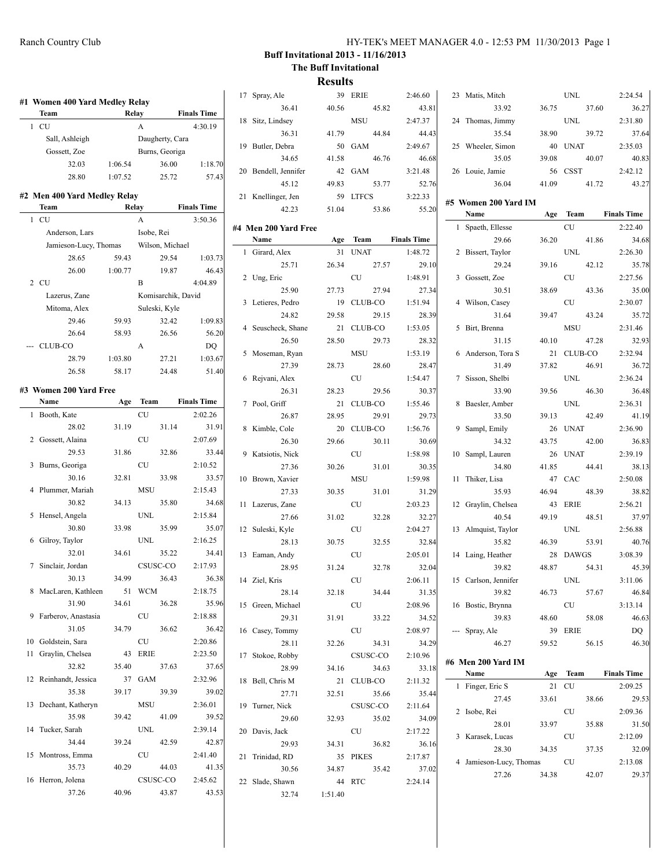| HY-TEK's MEET MANAGER 4.0 - 12:53 PM 11/30/2013 Page 1 |  |  |  |
|--------------------------------------------------------|--|--|--|
|--------------------------------------------------------|--|--|--|

|                                        |         |                            |                    |                    | 17 Spray, Ale        |         | 39 ERIE    | 2:46.60            | 23 Matis, Mitch            |       | <b>UNL</b>                |       | 2:24.54            |
|----------------------------------------|---------|----------------------------|--------------------|--------------------|----------------------|---------|------------|--------------------|----------------------------|-------|---------------------------|-------|--------------------|
| #1 Women 400 Yard Medley Relay<br>Team |         | Relay                      |                    | <b>Finals Time</b> | 36.41                | 40.56   | 45.82      | 43.81              | 33.92                      | 36.75 |                           | 37.60 | 36.27              |
| $1$ CU                                 |         | $\mathbf{A}$               |                    | 4:30.19            | 18 Sitz, Lindsey     |         | <b>MSU</b> | 2:47.37            | 24 Thomas, Jimmy           |       | <b>UNL</b>                |       | 2:31.80            |
| Sall, Ashleigh                         |         |                            | Daugherty, Cara    |                    | 36.31                | 41.79   | 44.84      | 44.43              | 35.54                      | 38.90 |                           | 39.72 | 37.64              |
| Gossett, Zoe                           |         |                            | Burns, Georiga     |                    | 19 Butler, Debra     |         | 50 GAM     | 2:49.67            | 25 Wheeler, Simon          |       | 40 UNAT                   |       | 2:35.03            |
| 32.03                                  | 1:06.54 |                            | 36.00              | 1:18.70            | 34.65                | 41.58   | 46.76      | 46.68              | 35.05                      | 39.08 |                           | 40.07 | 40.83              |
| 28.80                                  | 1:07.52 |                            | 25.72              | 57.43              | 20 Bendell, Jennifer |         | 42 GAM     | 3:21.48            | 26 Louie, Jamie            |       | 56 CSST                   |       | 2:42.12            |
|                                        |         |                            |                    |                    | 45.12                | 49.83   | 53.77      | 52.76              | 36.04                      | 41.09 |                           | 41.72 | 43.27              |
| #2 Men 400 Yard Medley Relay           |         |                            |                    |                    | 21 Knellinger, Jen   |         | 59 LTFCS   | 3:22.33            | #5 Women 200 Yard IM       |       |                           |       |                    |
| Team                                   |         | Relay                      |                    | <b>Finals Time</b> | 42.23                | 51.04   | 53.86      | 55.20              | Name                       |       | Age Team                  |       | <b>Finals Time</b> |
| 1 CU                                   |         | A                          |                    | 3:50.36            | #4 Men 200 Yard Free |         |            |                    | 1 Spaeth, Ellesse          |       | CU                        |       | 2:22.40            |
| Anderson, Lars                         |         | Isobe, Rei                 |                    |                    | Name                 |         | Age Team   | <b>Finals Time</b> | 29.66                      | 36.20 |                           | 41.86 | 34.68              |
| Jamieson-Lucy, Thomas                  |         |                            | Wilson, Michael    |                    | 1 Girard, Alex       |         | 31 UNAT    | 1:48.72            | 2 Bissert, Taylor          |       | <b>UNL</b>                |       | 2:26.30            |
| 28.65                                  | 59.43   |                            | 29.54              | 1:03.73            | 25.71                | 26.34   | 27.57      | 29.10              | 29.24                      | 39.16 |                           | 42.12 | 35.78              |
| 26.00                                  | 1:00.77 |                            | 19.87              | 46.43              | 2 Ung, Eric          |         | ${\rm CU}$ | 1:48.91            | 3 Gossett, Zoe             |       | <b>CU</b>                 |       | 2:27.56            |
| $2$ CU                                 |         | B                          |                    | 4:04.89            | 25.90                | 27.73   | 27.94      | 27.34              | 30.51                      | 38.69 |                           | 43.36 | 35.00              |
| Lazerus, Zane                          |         |                            | Komisarchik, David |                    | 3 Letieres, Pedro    |         | 19 CLUB-CO | 1:51.94            | 4 Wilson, Casey            |       | CU                        |       | 2:30.07            |
| Mitoma, Alex                           |         |                            | Suleski, Kyle      |                    | 24.82                | 29.58   | 29.15      | 28.39              | 31.64                      | 39.47 |                           | 43.24 | 35.72              |
| 29.46                                  | 59.93   |                            | 32.42              | 1:09.83            | 4 Seuscheck, Shane   |         | 21 CLUB-CO | 1:53.05            | 5 Birt, Brenna             |       | <b>MSU</b>                |       | 2:31.46            |
| 26.64                                  | 58.93   |                            | 26.56              | 56.20              | 26.50                | 28.50   | 29.73      | 28.32              | 31.15                      | 40.10 |                           | 47.28 | 32.93              |
| --- CLUB-CO                            |         | A                          |                    | DQ                 | 5 Moseman, Ryan      |         | <b>MSU</b> | 1:53.19            | 6 Anderson, Tora S         |       | 21 CLUB-CO                |       | 2:32.94            |
| 28.79                                  | 1:03.80 |                            | 27.21              | 1:03.67            | 27.39                | 28.73   | 28.60      | 28.47              | 31.49                      | 37.82 |                           | 46.91 | 36.72              |
| 26.58                                  | 58.17   |                            | 24.48              | 51.40              | 6 Rejvani, Alex      |         | ${\rm CU}$ | 1:54.47            | 7 Sisson, Shelbi           |       | $\ensuremath{\text{UNL}}$ |       | 2:36.24            |
| #3 Women 200 Yard Free                 |         |                            |                    |                    | 26.31                | 28.23   | 29.56      | 30.37              | 33.90                      | 39.56 |                           | 46.30 | 36.48              |
| Name                                   |         | Age Team                   |                    | <b>Finals Time</b> | 7 Pool, Griff        |         | 21 CLUB-CO | 1:55.46            | 8 Baesler, Amber           |       | <b>UNL</b>                |       | 2:36.31            |
| 1 Booth, Kate                          |         | <b>CU</b>                  |                    | 2:02.26            | 26.87                | 28.95   | 29.91      | 29.73              | 33.50                      | 39.13 |                           | 42.49 | 41.19              |
| 28.02                                  | 31.19   |                            | 31.14              | 31.91              | 8 Kimble, Cole       |         | 20 CLUB-CO | 1:56.76            | 9 Sampl, Emily             |       | 26 UNAT                   |       | 2:36.90            |
| 2 Gossett, Alaina                      |         | CU                         |                    | 2:07.69            | 26.30                | 29.66   | 30.11      | 30.69              | 34.32                      | 43.75 |                           | 42.00 | 36.83              |
| 29.53                                  | 31.86   |                            | 32.86              | 33.44              | 9 Katsiotis, Nick    |         | CU         | 1:58.98            | 10 Sampl, Lauren           |       | 26 UNAT                   |       | 2:39.19            |
| 3 Burns, Georiga                       |         | CU                         |                    | 2:10.52            | 27.36                | 30.26   | 31.01      | 30.35              | 34.80                      | 41.85 |                           | 44.41 | 38.13              |
| 30.16                                  | 32.81   |                            | 33.98              | 33.57              | 10 Brown, Xavier     |         | <b>MSU</b> | 1:59.98            | 11 Thiker, Lisa            |       | 47 CAC                    |       | 2:50.08            |
| 4 Plummer, Mariah                      |         | <b>MSU</b>                 |                    | 2:15.43            | 27.33                | 30.35   | 31.01      | 31.29              | 35.93                      | 46.94 |                           | 48.39 | 38.82              |
| 30.82                                  | 34.13   |                            | 35.80              | 34.68              | 11 Lazerus, Zane     |         | CU         | 2:03.23            | 12 Graylin, Chelsea        |       | 43 ERIE                   |       | 2:56.21            |
| 5 Hensel, Angela                       |         | <b>UNL</b>                 |                    | 2:15.84            | 27.66                | 31.02   | 32.28      | 32.27              | 40.54                      | 49.19 |                           | 48.51 | 37.97              |
| 30.80                                  | 33.98   |                            | 35.99              | 35.07              | 12 Suleski, Kyle     |         | CU         | 2:04.27            | 13 Almquist, Taylor        |       | $\ensuremath{\text{UNL}}$ |       | 2:56.88            |
| 6 Gilroy, Taylor                       |         | <b>UNL</b>                 |                    | 2:16.25            | 28.13                | 30.75   | 32.55      | 32.84              | 35.82                      | 46.39 |                           | 53.91 | 40.76              |
| 32.01                                  | 34.61   |                            | 35.22              | 34.41              | 13 Eaman, Andy       |         | CU         | 2:05.01            | 14 Laing, Heather          |       | 28 DAWGS                  |       | 3:08.39            |
| 7 Sinclair, Jordan                     |         |                            | CSUSC-CO           | 2:17.93            | 28.95                | 31.24   | 32.78      | 32.04              | 39.82                      | 48.87 |                           | 54.31 | 45.39              |
| 30.13                                  | 34.99   |                            | 36.43              | 36.38              | 14 Ziel, Kris        |         | CU         | 2:06.11            | 15 Carlson, Jennifer       |       | UNL                       |       | 3:11.06            |
| 8 MacLaren, Kathleen                   |         | 51 WCM                     |                    | 2:18.75            | 28.14                | 32.18   | 34.44      | 31.35              | 39.82                      | 46.73 |                           | 57.67 | 46.84              |
| 31.90                                  | 34.61   |                            | 36.28              | 35.96              | 15 Green, Michael    |         | CU         | 2:08.96            | 16 Bostic, Brynna          |       | <b>CU</b>                 |       | 3:13.14            |
| 9 Farberov, Anastasia                  |         | ${\rm CU}$                 |                    | 2:18.88            | 29.31                | 31.91   | 33.22      | 34.52              | 39.83                      | 48.60 |                           | 58.08 | 46.63              |
| 31.05                                  | 34.79   |                            | 36.62              | 36.42              | 16 Casey, Tommy      |         | <b>CU</b>  | 2:08.97            | --- Spray, Ale             |       | 39 ERIE                   |       | DQ                 |
| 10 Goldstein, Sara                     |         | $\ensuremath{\mathrm{CU}}$ |                    | 2:20.86            | 28.11                | 32.26   | 34.31      | 34.29              | 46.27                      | 59.52 |                           | 56.15 | 46.30              |
| 11 Graylin, Chelsea                    |         | 43 ERIE                    |                    | 2:23.50            | 17 Stokoe, Robby     |         | CSUSC-CO   | 2:10.96            |                            |       |                           |       |                    |
| 32.82                                  | 35.40   |                            | 37.63              | 37.65              | 28.99                | 34.16   | 34.63      | 33.18              | #6 Men 200 Yard IM<br>Name |       | Age Team                  |       | Finals Time        |
| 12 Reinhandt, Jessica                  |         | 37 GAM                     |                    | 2:32.96            | 18 Bell, Chris M     |         | 21 CLUB-CO | 2:11.32            |                            |       |                           |       |                    |
| 35.38                                  | 39.17   |                            | 39.39              | 39.02              | 27.71                | 32.51   | 35.66      | 35.44              | 1 Finger, Eric S           |       | 21 CU                     |       | 2:09.25            |
| 13 Dechant, Katheryn                   |         | MSU                        |                    | 2:36.01            | 19 Turner, Nick      |         | CSUSC-CO   | 2:11.64            | 27.45                      | 33.61 | CU                        | 38.66 | 29.53<br>2:09.36   |
| 35.98                                  | 39.42   |                            | 41.09              | 39.52              | 29.60                | 32.93   | 35.02      | 34.09              | 2 Isobe, Rei               |       |                           |       |                    |
| 14 Tucker, Sarah                       |         | <b>UNL</b>                 |                    | 2:39.14            | 20 Davis, Jack       |         | <b>CU</b>  | 2:17.22            | 28.01                      | 33.97 |                           | 35.88 | 31.50              |
| 34.44                                  | 39.24   |                            | 42.59              | 42.87              | 29.93                | 34.31   | 36.82      | 36.16              | 3 Karasek, Lucas           |       | CU                        |       | 2:12.09            |
| 15 Montross, Emma                      |         | CU                         |                    | 2:41.40            | 21 Trinidad, RD      |         | 35 PIKES   | 2:17.87            | 28.30                      | 34.35 |                           | 37.35 | 32.09              |
| 35.73                                  | 40.29   |                            | 44.03              | 41.35              | 30.56                | 34.87   | 35.42      | 37.02              | 4 Jamieson-Lucy, Thomas    |       | <b>CU</b>                 |       | 2:13.08<br>29.37   |
| 16 Herron, Jolena                      |         |                            | CSUSC-CO           | 2:45.62            | 22 Slade, Shawn      |         | 44 RTC     | 2:24.14            | 27.26                      | 34.38 |                           | 42.07 |                    |
| 37.26                                  | 40.96   |                            | 43.87              | 43.53              | 32.74                | 1:51.40 |            |                    |                            |       |                           |       |                    |
|                                        |         |                            |                    |                    |                      |         |            |                    |                            |       |                           |       |                    |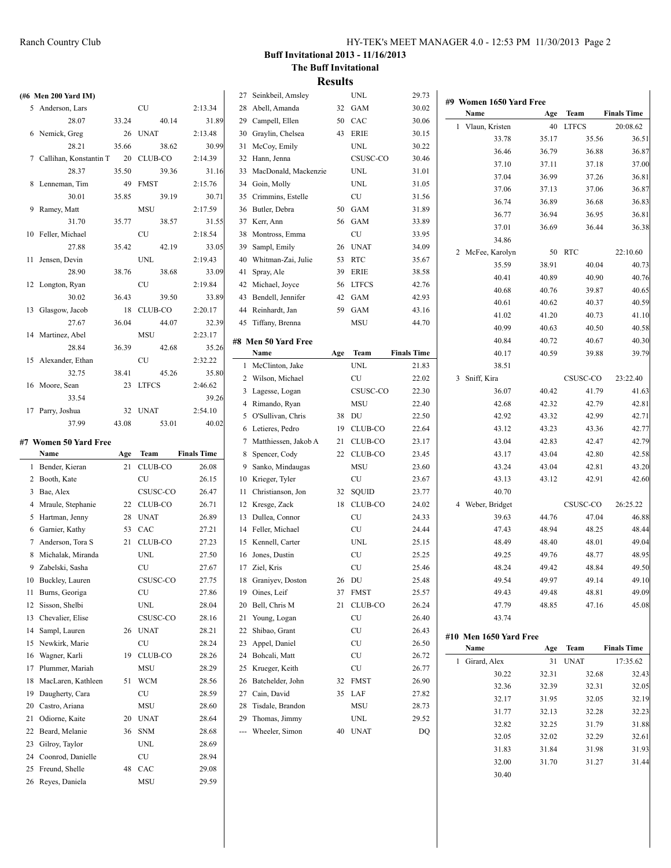|    | (#6 Men 200 Yard IM)     |       |                           |                    | 27 Seinkbeil, Amsley    |     | <b>UNL</b>                 | 29.73              |                         |       |             |                    |
|----|--------------------------|-------|---------------------------|--------------------|-------------------------|-----|----------------------------|--------------------|-------------------------|-------|-------------|--------------------|
|    | 5 Anderson, Lars         |       | <b>CU</b>                 | 2:13.34            | 28 Abell, Amanda        |     | 32 GAM                     | 30.02              | #9 Women 1650 Yard Free |       |             |                    |
|    | 28.07                    | 33.24 | 40.14                     | 31.89              | 29 Campell, Ellen       | 50  | CAC                        | 30.06              | Name                    | Age   | <b>Team</b> | <b>Finals Time</b> |
|    | 6 Nemick, Greg           |       | 26 UNAT                   | 2:13.48            | 30 Graylin, Chelsea     |     | 43 ERIE                    | 30.15              | 1 Vlaun, Kristen        |       | 40 LTFCS    | 20:08.62           |
|    | 28.21                    | 35.66 | 38.62                     | 30.99              | 31 McCoy, Emily         |     | <b>UNL</b>                 | 30.22              | 33.78                   | 35.17 | 35.56       | 36.51              |
|    | 7 Callihan, Konstantin T |       | 20 CLUB-CO                | 2:14.39            | 32 Hann, Jenna          |     | CSUSC-CO                   | 30.46              | 36.46                   | 36.79 | 36.88       | 36.87              |
|    | 28.37                    | 35.50 | 39.36                     | 31.16              | 33 MacDonald, Mackenzie |     | <b>UNL</b>                 | 31.01              | 37.10                   | 37.11 | 37.18       | 37.00              |
|    | 8 Lenneman, Tim          |       | 49 FMST                   | 2:15.76            | 34 Goin, Molly          |     | <b>UNL</b>                 | 31.05              | 37.04                   | 36.99 | 37.26       | 36.81              |
|    | 30.01                    | 35.85 | 39.19                     | 30.71              | 35 Crimmins, Estelle    |     | CU                         | 31.56              | 37.06                   | 37.13 | 37.06       | 36.87              |
|    | 9 Ramey, Matt            |       | <b>MSU</b>                | 2:17.59            | 36 Butler, Debra        | 50  | GAM                        | 31.89              | 36.74                   | 36.89 | 36.68       | 36.83              |
|    | 31.70                    | 35.77 | 38.57                     | 31.55              | 37 Kerr, Ann            |     | GAM                        |                    | 36.77                   | 36.94 | 36.95       | 36.81              |
|    | 10 Feller, Michael       |       | <b>CU</b>                 | 2:18.54            | 38 Montross, Emma       | 56  | CU                         | 33.89<br>33.95     | 37.01                   | 36.69 | 36.44       | 36.38              |
|    |                          |       | 42.19                     |                    |                         |     |                            |                    | 34.86                   |       |             |                    |
|    | 27.88                    | 35.42 |                           | 33.05              | 39 Sampl, Emily         | 26  | <b>UNAT</b>                | 34.09              | 2 McFee, Karolyn        |       | 50 RTC      | 22:10.60           |
|    | 11 Jensen, Devin         |       | <b>UNL</b>                | 2:19.43            | 40 Whitman-Zai, Julie   | 53  | RTC                        | 35.67              | 35.59                   | 38.91 | 40.04       | 40.73              |
|    | 28.90                    | 38.76 | 38.68                     | 33.09              | 41 Spray, Ale           | 39  | ERIE                       | 38.58              | 40.41                   | 40.89 | 40.90       | 40.76              |
|    | 12 Longton, Ryan         |       | <b>CU</b>                 | 2:19.84            | 42 Michael, Joyce       | 56  | <b>LTFCS</b>               | 42.76              | 40.68                   | 40.76 | 39.87       | 40.65              |
|    | 30.02                    | 36.43 | 39.50                     | 33.89              | 43 Bendell, Jennifer    | 42  | GAM                        | 42.93              | 40.61                   | 40.62 | 40.37       | 40.59              |
|    | 13 Glasgow, Jacob        |       | 18 CLUB-CO                | 2:20.17            | 44 Reinhardt, Jan       | 59  | GAM                        | 43.16              | 41.02                   | 41.20 | 40.73       | 41.10              |
|    | 27.67                    | 36.04 | 44.07                     | 32.39              | 45 Tiffany, Brenna      |     | <b>MSU</b>                 | 44.70              | 40.99                   | 40.63 | 40.50       | 40.58              |
|    | 14 Martinez, Abel        |       | <b>MSU</b>                | 2:23.17            | #8 Men 50 Yard Free     |     |                            |                    | 40.84                   | 40.72 | 40.67       | 40.30              |
|    | 28.84                    | 36.39 | 42.68                     | 35.26              | Name                    | Age | Team                       | <b>Finals Time</b> | 40.17                   | 40.59 | 39.88       | 39.79              |
|    | 15 Alexander, Ethan      |       | CU                        | 2:32.22            | 1 McClinton, Jake       |     | <b>UNL</b>                 | 21.83              | 38.51                   |       |             |                    |
|    | 32.75                    | 38.41 | 45.26                     | 35.80              | 2 Wilson, Michael       |     | CU                         | 22.02              | 3 Sniff, Kira           |       | CSUSC-CO    | 23:22.40           |
|    | 16 Moore, Sean           |       | 23 LTFCS                  | 2:46.62            | 3 Lagesse, Logan        |     | CSUSC-CO                   | 22.30              | 36.07                   |       | 41.79       |                    |
|    | 33.54                    |       |                           | 39.26              |                         |     |                            |                    |                         | 40.42 |             | 41.63              |
|    | 17 Parry, Joshua         |       | 32 UNAT                   | 2:54.10            | 4 Rimando, Ryan         |     | <b>MSU</b>                 | 22.40              | 42.68                   | 42.32 | 42.79       | 42.81              |
|    | 37.99                    | 43.08 | 53.01                     | 40.02              | 5 O'Sullivan, Chris     | 38  | DU                         | 22.50              | 42.92                   | 43.32 | 42.99       | 42.71              |
|    |                          |       |                           |                    | 6 Letieres, Pedro       | 19  | CLUB-CO                    | 22.64              | 43.12                   | 43.23 | 43.36       | 42.77              |
|    | #7 Women 50 Yard Free    |       |                           |                    | 7 Matthiessen, Jakob A  |     | 21 CLUB-CO                 | 23.17              | 43.04                   | 42.83 | 42.47       | 42.79              |
|    | Name                     | Age   | Team                      | <b>Finals Time</b> | 8 Spencer, Cody         |     | 22 CLUB-CO                 | 23.45              | 43.17                   | 43.04 | 42.80       | 42.58              |
|    | 1 Bender, Kieran         |       | 21 CLUB-CO                | 26.08              | 9 Sanko, Mindaugas      |     | <b>MSU</b>                 | 23.60              | 43.24                   | 43.04 | 42.81       | 43.20              |
|    | 2 Booth, Kate            |       | CU                        | 26.15              | 10 Krieger, Tyler       |     | CU                         | 23.67              | 43.13                   | 43.12 | 42.91       | 42.60              |
|    | 3 Bae, Alex              |       | CSUSC-CO                  | 26.47              | 11 Christianson, Jon    |     | 32 SQUID                   | 23.77              | 40.70                   |       |             |                    |
|    | 4 Mraule, Stephanie      |       | 22 CLUB-CO                | 26.71              | 12 Kresge, Zack         |     | 18 CLUB-CO                 | 24.02              | 4 Weber, Bridget        |       | CSUSC-CO    | 26:25.22           |
|    | 5 Hartman, Jenny         |       | 28 UNAT                   | 26.89              | 13 Dullea, Connor       |     | CU                         | 24.33              | 39.63                   | 44.76 | 47.04       | 46.88              |
|    | 6 Garnier, Kathy         |       | 53 CAC                    | 27.21              | 14 Feller, Michael      |     | CU                         | 24.44              | 47.43                   | 48.94 | 48.25       | 48.44              |
|    | 7 Anderson, Tora S       |       | 21 CLUB-CO                | 27.23              | 15 Kennell, Carter      |     | <b>UNL</b>                 | 25.15              | 48.49                   | 48.40 | 48.01       | 49.04              |
|    | 8 Michalak, Miranda      |       | <b>UNL</b>                | 27.50              | 16 Jones, Dustin        |     | CU                         | 25.25              | 49.25                   | 49.76 | 48.77       | 48.95              |
|    | 9 Zabelski, Sasha        |       | ${\rm CU}$                | 27.67              | 17 Ziel, Kris           |     | CU                         | 25.46              | 48.24                   | 49.42 | 48.84       | 49.50              |
|    | 10 Buckley, Lauren       |       | CSUSC-CO                  | 27.75              | 18 Graniyev, Doston     | 26  | DU                         | 25.48              | 49.54                   | 49.97 | 49.14       | 49.10              |
|    | 11 Burns, Georiga        |       | CU                        | 27.86              | 19 Oines, Leif          | 37  | FMST                       | 25.57              | 49.43                   | 49.48 | 48.81       | 49.09              |
|    | 12 Sisson, Shelbi        |       | $\ensuremath{\text{UNL}}$ | 28.04              | 20 Bell, Chris M        |     | 21 CLUB-CO                 | 26.24              | 47.79                   | 48.85 | 47.16       | 45.08              |
| 13 | Chevalier, Elise         |       | CSUSC-CO                  | 28.16              | 21 Young, Logan         |     | $\ensuremath{\mathrm{CU}}$ | 26.40              | 43.74                   |       |             |                    |
| 14 | Sampl, Lauren            |       | 26 UNAT                   | 28.21              | 22 Shibao, Grant        |     | CU                         | 26.43              |                         |       |             |                    |
|    | 15 Newkirk, Marie        |       | CU                        | 28.24              | 23 Appel, Daniel        |     | <b>CU</b>                  | 26.50              | #10 Men 1650 Yard Free  |       |             |                    |
| 16 | Wagner, Karli            |       | 19 CLUB-CO                | 28.26              | 24 Bohcali, Matt        |     | <b>CU</b>                  | 26.72              | Name                    | Age   | Team        | <b>Finals Time</b> |
|    |                          |       | MSU                       | 28.29              | 25 Krueger, Keith       |     | CU                         | 26.77              | 1 Girard, Alex          |       | 31 UNAT     | 17:35.62           |
|    |                          |       |                           |                    |                         |     | 32 FMST                    | 26.90              | 30.22                   | 32.31 | 32.68       | 32.43              |
|    | 17 Plummer, Mariah       |       |                           |                    |                         |     |                            |                    |                         |       |             | 32.05              |
|    | 18 MacLaren, Kathleen    |       | 51 WCM                    | 28.56              | 26 Batchelder, John     |     |                            |                    | 32.36                   | 32.39 | 32.31       |                    |
|    | 19 Daugherty, Cara       |       | CU                        | 28.59              | 27 Cain, David          |     | 35 LAF                     | 27.82              | 32.17                   | 31.95 | 32.05       | 32.19              |
| 20 | Castro, Ariana           |       | MSU                       | 28.60              | 28 Tisdale, Brandon     |     | MSU                        | 28.73              | 31.77                   | 32.13 | 32.28       | 32.23              |
| 21 | Odiorne, Kaite           |       | 20 UNAT                   | 28.64              | 29 Thomas, Jimmy        |     | $\ensuremath{\text{UNL}}$  | 29.52              | 32.82                   | 32.25 | 31.79       | 31.88              |
| 22 | Beard, Melanie           |       | 36 SNM                    | 28.68              | --- Wheeler, Simon      |     | 40 UNAT                    | DQ                 | 32.05                   | 32.02 | 32.29       | 32.61              |
| 23 | Gilroy, Taylor           |       | <b>UNL</b>                | 28.69              |                         |     |                            |                    | 31.83                   | 31.84 | 31.98       | 31.93              |
| 24 | Coonrod, Danielle        |       | ${\rm CU}$                | 28.94              |                         |     |                            |                    | 32.00                   | 31.70 | 31.27       | 31.44              |
| 25 | Freund, Shelle           |       | 48 CAC                    | 29.08              |                         |     |                            |                    | 30.40                   |       |             |                    |
|    | 26 Reyes, Daniela        |       | MSU                       | 29.59              |                         |     |                            |                    |                         |       |             |                    |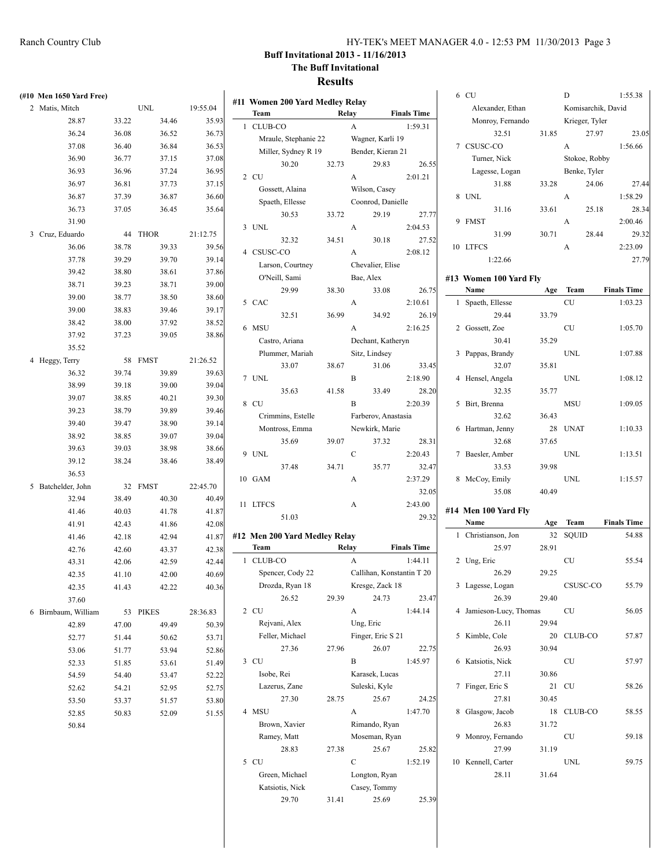|   | (#10 Men 1650 Yard Free) |       |              |          |   | #11 Women 20   |
|---|--------------------------|-------|--------------|----------|---|----------------|
|   | 2 Matis, Mitch           |       | UNL          | 19:55.04 |   | Team           |
|   | 28.87                    | 33.22 | 34.46        | 35.93    | 1 | CLUB-CO        |
|   | 36.24                    | 36.08 | 36.52        | 36.73    |   | Mraule, S      |
|   | 37.08                    | 36.40 | 36.84        | 36.53    |   | Miller, Sy     |
|   | 36.90                    | 36.77 | 37.15        | 37.08    |   | 30             |
|   | 36.93                    | 36.96 | 37.24        | 36.95    |   | 2 CU           |
|   | 36.97                    | 36.81 | 37.73        | 37.15    |   | Gossett, /     |
|   | 36.87                    | 37.39 | 36.87        | 36.60    |   | Spaeth, E      |
|   | 36.73                    | 37.05 | 36.45        | 35.64    |   | 30             |
|   | 31.90                    |       |              |          |   | 3 UNL          |
| 3 | Cruz, Eduardo            | 44    | <b>THOR</b>  | 21:12.75 |   | 32             |
|   | 36.06                    | 38.78 | 39.33        | 39.56    |   | 4 CSUSC-CO     |
|   | 37.78                    | 39.29 | 39.70        | 39.14    |   | Larson, C      |
|   | 39.42                    | 38.80 | 38.61        | 37.86    |   | O'Neill, S     |
|   | 38.71                    | 39.23 | 38.71        | 39.00    |   | 29             |
|   | 39.00                    | 38.77 | 38.50        | 38.60    |   | 5 CAC          |
|   | 39.00                    | 38.83 | 39.46        | 39.17    |   | 32             |
|   | 38.42                    | 38.00 | 37.92        | 38.52    |   | 6 MSU          |
|   | 37.92                    | 37.23 | 39.05        | 38.86    |   | Castro, A      |
|   | 35.52                    |       |              |          |   | Plummer.       |
|   | 4 Heggy, Terry           | 58    | <b>FMST</b>  | 21:26.52 |   | 33             |
|   | 36.32                    | 39.74 | 39.89        | 39.63    |   | 7 UNL          |
|   | 38.99                    | 39.18 | 39.00        | 39.04    |   | 35             |
|   | 39.07                    | 38.85 | 40.21        | 39.30    |   | 8 CU           |
|   | 39.23                    | 38.79 | 39.89        | 39.46    |   | Crimmin:       |
|   | 39.40                    | 39.47 | 38.90        | 39.14    |   | Montross       |
|   | 38.92                    | 38.85 | 39.07        | 39.04    |   | 35             |
|   | 39.63                    | 39.03 | 38.98        | 38.66    |   | 9 UNL          |
|   | 39.12                    | 38.24 | 38.46        | 38.49    |   | 37             |
|   | 36.53                    |       |              |          |   | 10 GAM         |
| 5 | Batchelder, John         | 32    | <b>FMST</b>  | 22:45.70 |   |                |
|   | 32.94                    | 38.49 | 40.30        | 40.49    |   | 11 LTFCS       |
|   | 41.46                    | 40.03 | 41.78        | 41.87    |   | 51             |
|   | 41.91                    | 42.43 | 41.86        | 42.08    |   |                |
|   | 41.46                    | 42.18 | 42.94        | 41.87    |   | #12 Men 200 Y  |
|   | 42.76                    | 42.60 | 43.37        | 42.38    |   | Team           |
|   | 43.31                    | 42.06 | 42.59        | 42.44    | 1 | CLUB-CO        |
|   | 42.35                    | 41.10 | 42.00        | 40.69    |   | Spencer,       |
|   | 42.35                    | 41.43 | 42.22        | 40.36    |   | Drozda, I      |
|   | 37.60                    |       |              |          |   | 26<br>2 CU     |
| 6 | Birnbaum, William        | 53    | <b>PIKES</b> | 28:36.83 |   |                |
|   | 42.89                    | 47.00 | 49.49        | 50.39    |   | Rejvani,       |
|   | 52.77                    | 51.44 | 50.62        | 53.71    |   | Feller, M      |
|   | 53.06                    | 51.77 | 53.94        | 52.86    |   | 27<br>3 CU     |
|   | 52.33                    | 51.85 | 53.61        | 51.49    |   |                |
|   | 54.59                    | 54.40 | 53.47        | 52.22    |   | Isobe, Re      |
|   | 52.62                    | 54.21 | 52.95        | 52.75    |   | Lazerus,<br>27 |
|   | 53.50                    | 53.37 | 51.57        | 53.80    |   | 4 MSU          |
|   | 52.85                    | 50.83 | 52.09        | 51.55    |   |                |
|   | 50.84                    |       |              |          |   | Brown, X       |
|   |                          |       |              |          |   | Ramey, N       |
|   |                          |       |              |          |   | 28             |

|    |                | #11  Women 200 Yard Medley Relay |       |           |                                              |                               |
|----|----------------|----------------------------------|-------|-----------|----------------------------------------------|-------------------------------|
|    | Team           |                                  |       | Relay     |                                              | <b>Finals Time</b>            |
| 1  | <b>CLUB-CO</b> |                                  |       | A         |                                              | 1:59.31                       |
|    |                | Mraule, Stephanie 22             |       |           | Wagner, Karli 19                             |                               |
|    |                | Miller, Sydney R 19              |       |           | Bender, Kieran 21                            |                               |
|    |                | 30.20                            | 32.73 |           | 29.83                                        | 26.55                         |
|    | 2 CU           |                                  |       | A         |                                              | 2:01.21                       |
|    |                | Gossett, Alaina                  |       |           | Wilson, Casey                                |                               |
|    |                | Spaeth, Ellesse                  |       |           | Coonrod, Danielle                            |                               |
|    |                | 30.53                            | 33.72 |           | 29.19                                        | 27.77                         |
| 3  | <b>UNL</b>     |                                  |       | A         |                                              | 2:04.53                       |
|    |                | 32.32                            | 34.51 |           | 30.18                                        | 27.52                         |
| 4  | CSUSC-CO       |                                  |       | A         |                                              | 2:08.12                       |
|    |                | Larson, Courtney                 |       |           | Chevalier, Elise                             |                               |
|    |                | O'Neill, Sami                    |       | Bae, Alex |                                              |                               |
| 5  | CAC            | 29.99                            | 38.30 |           | 33.08                                        | 26.75                         |
|    |                |                                  |       | A         |                                              | 2:10.61                       |
|    |                | 32.51                            | 36.99 |           | 34.92                                        | 26.19                         |
| 6  | <b>MSU</b>     |                                  |       | A         |                                              | 2:16.25                       |
|    |                | Castro, Ariana                   |       |           | Dechant, Katheryn                            |                               |
|    |                | Plummer, Mariah<br>33.07         | 38.67 |           | Sitz, Lindsey                                | 33.45                         |
| 7  | UNL            |                                  |       | B         | 31.06                                        | 2:18.90                       |
|    |                |                                  |       |           |                                              | 28.20                         |
| 8  | <b>CU</b>      | 35.63                            | 41.58 | B         | 33.49                                        | 2:20.39                       |
|    |                | Crimmins, Estelle                |       |           | Farberov, Anastasia                          |                               |
|    |                | Montross, Emma                   |       |           | Newkirk, Marie                               |                               |
|    |                | 35.69                            | 39.07 |           | 37.32                                        | 28.31                         |
| 9  | <b>UNL</b>     |                                  |       | C         |                                              | 2:20.43                       |
|    |                | 37.48                            | 34.71 |           | 35.77                                        | 32.47                         |
| 10 | <b>GAM</b>     |                                  |       | A         |                                              | 2:37.29                       |
|    |                |                                  |       |           |                                              | 32.05                         |
| 11 | <b>LTFCS</b>   |                                  |       | А         |                                              | 2:43.00                       |
|    |                | 51.03                            |       |           |                                              | 29.32                         |
|    |                |                                  |       |           |                                              |                               |
|    |                | #12 Men 200 Yard Medley Relay    |       |           |                                              |                               |
| 1  | Team           |                                  |       | Relay     |                                              | <b>Finals Time</b><br>1:44.11 |
|    | <b>CLUB-CO</b> | Spencer, Cody 22                 |       | A         |                                              |                               |
|    |                |                                  |       |           | Callihan, Konstantin T 20<br>Kresge, Zack 18 |                               |
|    |                | Drozda, Ryan 18<br>26.52         | 29.39 |           | 24.73                                        | 23.47                         |
| 2  | <b>CU</b>      |                                  |       | A         |                                              | 1:44.14                       |
|    |                | Rejvani, Alex                    |       | Ung, Eric |                                              |                               |
|    |                | Feller, Michael                  |       |           | Finger, Eric S 21                            |                               |
|    |                | 27.36                            | 27.96 |           | 26.07                                        | 22.75                         |
| 3  | CU             |                                  |       | В         |                                              | 1:45.97                       |
|    | Isobe, Rei     |                                  |       |           | Karasek, Lucas                               |                               |
|    |                | Lazerus, Zane                    |       |           | Suleski, Kyle                                |                               |
|    |                | 27.30                            | 28.75 |           | 25.67                                        | 24.25                         |
| 4  | <b>MSU</b>     |                                  |       | A         |                                              | 1:47.70                       |
|    |                | Brown, Xavier                    |       |           | Rimando, Ryan                                |                               |
|    |                | Ramey, Matt                      |       |           | Moseman, Ryan                                |                               |
|    |                | 28.83                            | 27.38 |           | 25.67                                        | 25.82                         |
| 5  | <b>CU</b>      |                                  |       | C         |                                              | 1:52.19                       |
|    |                | Green, Michael                   |       |           | Longton, Ryan                                |                               |
|    |                | Katsiotis, Nick                  |       |           | Casey, Tommy                                 |                               |
|    |                | 29.70                            | 31.41 |           | 25.69                                        | 25.39                         |
|    |                |                                  |       |           |                                              |                               |

|    | 6 CU                   |       | D                  | 1:55.38            |
|----|------------------------|-------|--------------------|--------------------|
|    | Alexander, Ethan       |       | Komisarchik, David |                    |
|    | Monroy, Fernando       |       | Krieger, Tyler     |                    |
|    | 32.51                  | 31.85 | 27.97              | 23.05              |
|    | 7 CSUSC-CO             |       | A                  | 1:56.66            |
|    | Turner, Nick           |       | Stokoe, Robby      |                    |
|    | Lagesse, Logan         |       | Benke, Tyler       |                    |
|    | 31.88                  | 33.28 | 24.06              | 27.44              |
| 8  | <b>UNL</b>             |       | А                  | 1:58.29            |
|    | 31.16                  | 33.61 | 25.18              | 28.34              |
| 9  | <b>FMST</b>            |       | A                  | 2:00.46            |
|    | 31.99                  | 30.71 | 28.44              | 29.32              |
| 10 | <b>LTFCS</b>           |       | А                  | 2:23.09            |
|    | 1:22.66                |       |                    | 27.79              |
|    |                        |       |                    |                    |
|    | #13 Women 100 Yard Fly |       |                    |                    |
|    | Name                   | Age   | Team               | <b>Finals Time</b> |
| 1  | Spaeth, Ellesse        |       | CU                 | 1:03.23            |
|    | 29.44                  | 33.79 |                    |                    |
| 2  | Gossett, Zoe           |       | CU                 | 1:05.70            |
|    | 30.41                  | 35.29 |                    |                    |
| 3  | Pappas, Brandy         |       | UNL                | 1:07.88            |
|    | 32.07                  | 35.81 |                    |                    |
| 4  | Hensel, Angela         |       | <b>UNL</b>         | 1:08.12            |
|    | 32.35                  | 35.77 |                    |                    |
| 5  | Birt, Brenna           |       | MSU                | 1:09.05            |
|    | 32.62                  | 36.43 |                    |                    |
| 6  | Hartman, Jenny         | 28    | <b>UNAT</b>        | 1:10.33            |
|    | 32.68                  | 37.65 |                    |                    |
| 7  | Baesler, Amber         |       | UNL                | 1:13.51            |
|    | 33.53                  | 39.98 |                    |                    |
| 8  | McCoy, Emily           |       | UNL                | 1:15.57            |
|    | 35.08                  | 40.49 |                    |                    |
|    | #14 Men 100 Yard Fly   |       |                    |                    |
|    | Name                   | Age   | Team               | <b>Finals Time</b> |
| 1  | Christianson, Jon      | 32    | SQUID              | 54.88              |
|    | 25.97                  | 28.91 |                    |                    |
| 2  | Ung, Eric              |       | CU                 | 55.54              |
|    | 26.29                  | 29.25 |                    |                    |
| 3  | Lagesse, Logan         |       | CSUSC-CO           | 55.79              |
|    | 26.39                  | 29.40 |                    |                    |
| 4  | Jamieson-Lucy, Thomas  |       | CU                 | 56.05              |
|    | 26.11                  | 29.94 |                    |                    |
| 5  | Kimble, Cole           | 20    | CLUB-CO            | 57.87              |
|    | 26.93                  | 30.94 |                    |                    |
| 6  | Katsiotis, Nick        |       | CU                 | 57.97              |
|    | 27.11                  | 30.86 |                    |                    |
| 7  | Finger, Eric S         | 21    | CU                 | 58.26              |
|    | 27.81                  | 30.45 |                    |                    |
| 8  | Glasgow, Jacob         | 18    | CLUB-CO            | 58.55              |
|    | 26.83                  | 31.72 |                    |                    |
| 9  | Monroy, Fernando       |       | CU                 | 59.18              |
|    | 27.99                  | 31.19 |                    |                    |
| 10 | Kennell, Carter        |       | UNL                | 59.75              |
|    | 28.11                  | 31.64 |                    |                    |
|    |                        |       |                    |                    |
|    |                        |       |                    |                    |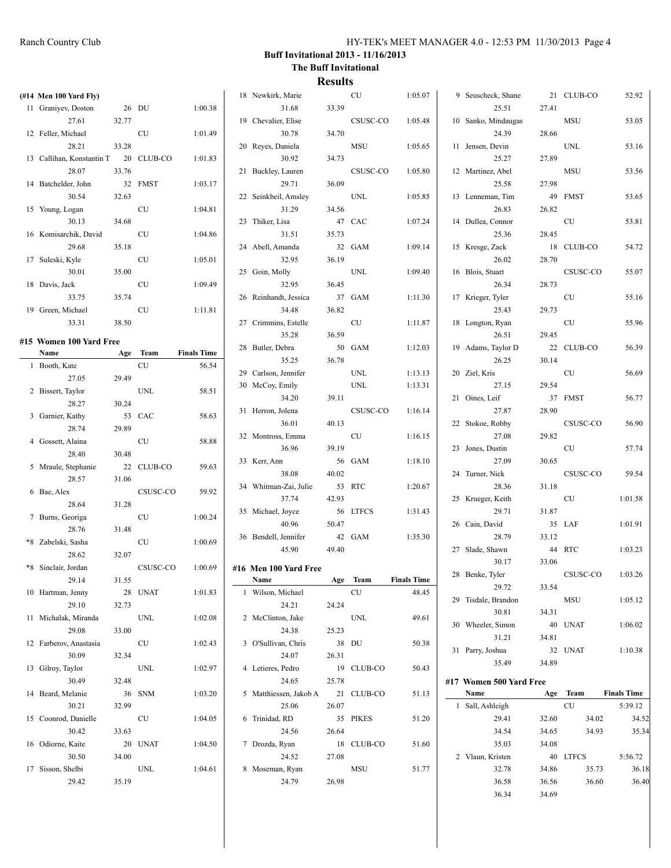| (#14 Men 100 Yard Fly)          |        |            |                    | 18 Newkirk, Marie      |        | <b>CU</b>  | 1:05.07            | 9 Seuscheck, Shane      |       | 21 CLUB-CO | 52.92              |
|---------------------------------|--------|------------|--------------------|------------------------|--------|------------|--------------------|-------------------------|-------|------------|--------------------|
| 11 Graniyev, Doston             |        | 26 DU      | 1:00.38            | 31.68                  | 33.39  |            |                    | 25.51                   | 27.41 |            |                    |
| 27.61                           | 32.77  |            |                    | 19 Chevalier, Elise    |        | CSUSC-CO   | 1:05.48            | 10 Sanko, Mindaugas     |       | MSU        | 53.05              |
| 12 Feller, Michael              |        | CU         | 1:01.49            | 30.78                  | 34.70  |            |                    | 24.39                   | 28.66 |            |                    |
| 28.21                           | 33.28  |            |                    | 20 Reyes, Daniela      |        | MSU        | 1:05.65            | 11 Jensen, Devin        |       | UNL        | 53.16              |
| 13 Callihan, Konstantin T       |        | 20 CLUB-CO | 1:01.83            | 30.92                  | 34.73  |            |                    | 25.27                   | 27.89 |            |                    |
| 28.07                           | 33.76  |            |                    | 21 Buckley, Lauren     |        | CSUSC-CO   | 1:05.80            | 12 Martinez, Abel       |       | MSU        | 53.56              |
| 14 Batchelder, John             |        | 32 FMST    | 1:03.17            | 29.71                  | 36.09  |            |                    | 25.58                   | 27.98 |            |                    |
| 30.54                           | 32.63  |            |                    | 22 Seinkbeil, Amsley   |        | UNL        | 1:05.85            | 13 Lenneman, Tim        |       | 49 FMST    | 53.65              |
| 15 Young, Logan                 |        | CU         | 1:04.81            | 31.29                  | 34.56  |            |                    | 26.83                   | 26.82 |            |                    |
| 30.13                           | 34.68  |            |                    | 23 Thiker, Lisa        | 47 CAC |            | 1:07.24            | 14 Dullea, Connor       |       | CU         | 53.81              |
| 16 Komisarchik, David           |        | CU         | 1:04.86            | 31.51                  | 35.73  |            |                    | 25.36                   | 28.45 |            |                    |
| 29.68                           | 35.18  |            |                    | 24 Abell, Amanda       |        | 32 GAM     | 1:09.14            | 15 Kresge, Zack         |       | 18 CLUB-CO | 54.72              |
| 17 Suleski, Kyle                |        | CU         | 1:05.01            | 32.95                  | 36.19  |            |                    | 26.02                   | 28.70 |            |                    |
| 30.01                           | 35.00  |            |                    | 25 Goin, Molly         |        | UNL        | 1:09.40            | 16 Blois, Stuart        |       | CSUSC-CO   | 55.07              |
| 18 Davis, Jack                  |        | CU         | 1:09.49            | 32.95                  | 36.45  |            |                    | 26.34                   | 28.73 |            |                    |
| 33.75                           | 35.74  |            |                    | 26 Reinhandt, Jessica  |        | 37 GAM     | 1:11.30            | 17 Krieger, Tyler       |       | CU         | 55.16              |
| 19 Green, Michael               |        | CU         | 1:11.81            | 34.48                  | 36.82  |            |                    | 25.43                   | 29.73 |            |                    |
| 33.31                           | 38.50  |            |                    | 27 Crimmins, Estelle   |        | CU         | 1:11.87            | 18 Longton, Ryan        |       | <b>CU</b>  | 55.96              |
|                                 |        |            |                    | 35.28                  | 36.59  |            |                    | 26.51                   | 29.45 |            |                    |
| #15 Women 100 Yard Free<br>Name |        | Age Team   | <b>Finals Time</b> | 28 Butler, Debra       |        | 50 GAM     | 1:12.03            | 19 Adams, Taylor D      |       | 22 CLUB-CO | 56.39              |
|                                 |        | CU         | 56.54              | 35.25                  | 36.78  |            |                    | 26.25                   | 30.14 |            |                    |
| 1 Booth, Kate<br>27.05          | 29.49  |            |                    | 29 Carlson, Jennifer   |        | UNL        | 1:13.13            | 20 Ziel, Kris           |       | CU         | 56.69              |
| 2 Bissert, Taylor               |        | UNL        | 58.51              | 30 McCoy, Emily        |        | UNL        | 1:13.31            | 27.15                   | 29.54 |            |                    |
| 28.27                           | 30.24  |            |                    | 34.20                  | 39.11  |            |                    | 21 Oines, Leif          |       | 37 FMST    | 56.77              |
|                                 | 53 CAC |            | 58.63              | 31 Herron, Jolena      |        | CSUSC-CO   | 1:16.14            | 27.87                   | 28.90 |            |                    |
| 3 Garnier, Kathy                |        |            |                    | 36.01                  | 40.13  |            |                    | 22 Stokoe, Robby        |       | CSUSC-CO   | 56.90              |
| 28.74                           | 29.89  |            |                    | 32 Montross, Emma      |        | CU         | 1:16.15            | 27.08                   | 29.82 |            |                    |
| 4 Gossett, Alaina               |        | CU         | 58.88              | 36.96                  | 39.19  |            |                    | 23 Jones, Dustin        |       | CU         | 57.74              |
| 28.40                           | 30.48  |            |                    | 33 Kerr, Ann           |        | 56 GAM     | 1:18.10            | 27.09                   | 30.65 |            |                    |
| 5 Mraule, Stephanie             |        | 22 CLUB-CO | 59.63              | 38.08                  | 40.02  |            |                    | 24 Turner, Nick         |       | CSUSC-CO   | 59.54              |
| 28.57                           | 31.06  |            |                    | 34 Whitman-Zai, Julie  |        | 53 RTC     | 1:20.67            | 28.36                   | 31.18 |            |                    |
| 6 Bae, Alex                     |        | CSUSC-CO   | 59.92              | 37.74                  | 42.93  |            |                    | 25 Krueger, Keith       |       | CU         | 1:01.58            |
| 28.64                           | 31.28  |            |                    | 35 Michael, Joyce      |        | 56 LTFCS   | 1:31.43            | 29.71                   | 31.87 |            |                    |
| 7 Burns, Georiga                |        | CU         | 1:00.24            | 40.96                  | 50.47  |            |                    | 26 Cain, David          |       | 35 LAF     | 1:01.91            |
| 28.76                           | 31.48  |            |                    | 36 Bendell, Jennifer   |        | 42 GAM     | 1:35.30            | 28.79                   | 33.12 |            |                    |
| *8 Zabelski, Sasha              |        | <b>CU</b>  | 1:00.69            | 45.90                  | 49.40  |            |                    | 27 Slade, Shawn         |       | 44 RTC     | 1:03.23            |
| 28.62                           | 32.07  |            |                    |                        |        |            |                    | 30.17                   | 33.06 |            |                    |
| *8 Sinclair, Jordan             |        | CSUSC-CO   | 1:00.69            | #16 Men 100 Yard Free  |        |            | <b>Finals Time</b> | 28 Benke, Tyler         |       | CSUSC-CO   | 1:03.26            |
| 29.14                           | 31.55  |            |                    | Name                   |        | Age Team   |                    | 29.72                   | 33.54 |            |                    |
| 10 Hartman, Jenny               |        | 28 UNAT    | 1:01.83            | 1 Wilson, Michael      |        | CU         | 48.45              | 29 Tisdale, Brandon     |       | MSU        | 1:05.12            |
| 29.10                           | 32.73  |            |                    | 24.21                  | 24.24  |            |                    | 30.81                   | 34.31 |            |                    |
| 11 Michalak, Miranda            |        | <b>UNL</b> | 1:02.08            | 2 McClinton, Jake      |        | UNL        | 49.61              | 30 Wheeler, Simon       |       | 40 UNAT    | 1:06.02            |
| 29.08                           | 33.00  |            |                    | 24.38                  | 25.23  |            |                    | 31.21                   | 34.81 |            |                    |
| 12 Farberov, Anastasia          |        | CU         | 1:02.43            | 3 O'Sullivan, Chris    |        | 38 DU      | 50.38              | 31 Parry, Joshua        |       | 32 UNAT    | 1:10.38            |
| 30.09                           | 32.34  |            |                    | 24.07                  | 26.31  |            |                    | 35.49                   | 34.89 |            |                    |
| 13 Gilroy, Taylor               |        | <b>UNL</b> | 1:02.97            | 4 Letieres, Pedro      |        | 19 CLUB-CO | 50.43              |                         |       |            |                    |
| 30.49                           | 32.48  |            |                    | 24.65                  | 25.78  |            |                    | #17 Women 500 Yard Free |       |            |                    |
| 14 Beard, Melanie               |        | 36 SNM     | 1:03.20            | 5 Matthiessen, Jakob A |        | 21 CLUB-CO | 51.13              | Name                    |       | Age Team   | <b>Finals Time</b> |
| 30.21                           | 32.99  |            |                    | 25.06                  | 26.07  |            |                    | 1 Sall, Ashleigh        |       | ${\rm CU}$ | 5:39.12            |
| 15 Coonrod, Danielle            |        | CU         | 1:04.05            | 6 Trinidad, RD         |        | 35 PIKES   | 51.20              | 29.41                   | 32.60 | 34.02      | 34.52              |
| 30.42                           | 33.63  |            |                    | 24.56                  | 26.64  |            |                    | 34.54                   | 34.65 | 34.93      | 35.34              |
| 16 Odiorne, Kaite               |        | 20 UNAT    | 1:04.50            | 7 Drozda, Ryan         |        | 18 CLUB-CO | 51.60              | 35.03                   | 34.08 |            |                    |
| 30.50                           | 34.00  |            |                    | 24.52                  | 27.08  |            |                    | 2 Vlaun, Kristen        |       | 40 LTFCS   | 5:56.72            |
| 17 Sisson, Shelbi               |        | UNL        | 1:04.61            | 8 Moseman, Ryan        |        | MSU        | 51.77              | 32.78                   | 34.86 | 35.73      | 36.18              |
| 29.42                           | 35.19  |            |                    | 24.79                  | 26.98  |            |                    | 36.58                   | 36.56 | 36.60      | 36.40              |
|                                 |        |            |                    |                        |        |            |                    | 36.34                   | 34.69 |            |                    |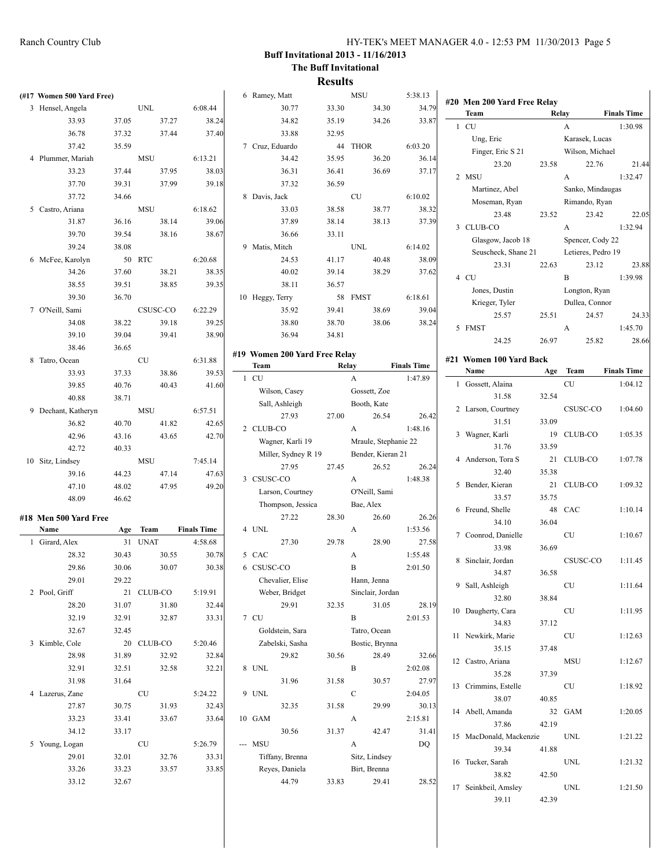| (#17 Women 500 Yard Free) |       |            |                    | 6 Ramey, Matt   |                               |       | <b>MSU</b>           |       | 5:38.13            |                   |                                 |       |                                   |                    |
|---------------------------|-------|------------|--------------------|-----------------|-------------------------------|-------|----------------------|-------|--------------------|-------------------|---------------------------------|-------|-----------------------------------|--------------------|
| 3 Hensel, Angela          |       | UNL        | 6:08.44            |                 | 30.77                         | 33.30 |                      | 34.30 | 34.79              | Team              | #20 Men 200 Yard Free Relay     |       | Relay                             | <b>Finals Time</b> |
| 33.93                     | 37.05 | 37.27      | 38.24              |                 | 34.82                         | 35.19 |                      | 34.26 | 33.87              | 1 CU              |                                 |       | $\mathbf{A}$                      | 1:30.98            |
| 36.78                     | 37.32 | 37.44      | 37.40              |                 | 33.88                         | 32.95 |                      |       |                    |                   |                                 |       |                                   |                    |
| 37.42                     | 35.59 |            |                    | 7 Cruz, Eduardo |                               |       | 44 THOR              |       | 6:03.20            | Ung, Eric         | Finger, Eric S 21               |       | Karasek, Lucas<br>Wilson, Michael |                    |
| 4 Plummer, Mariah         |       | MSU        | 6:13.21            |                 | 34.42                         | 35.95 |                      | 36.20 | 36.14              |                   | 23.20                           | 23.58 | 22.76                             | 21.44              |
| 33.23                     | 37.44 | 37.95      | 38.03              |                 | 36.31                         | 36.41 |                      | 36.69 | 37.17              | 2 MSU             |                                 |       | $\mathbf{A}$                      | 1:32.47            |
| 37.70                     | 39.31 | 37.99      | 39.18              |                 | 37.32                         | 36.59 |                      |       |                    |                   | Martinez, Abel                  |       | Sanko, Mindaugas                  |                    |
| 37.72                     | 34.66 |            |                    | 8 Davis, Jack   |                               |       | <b>CU</b>            |       | 6:10.02            |                   | Moseman, Ryan                   |       | Rimando, Ryan                     |                    |
| 5 Castro, Ariana          |       | MSU        | 6:18.62            |                 | 33.03                         | 38.58 |                      | 38.77 | 38.32              |                   | 23.48                           | 23.52 | 23.42                             | 22.05              |
| 31.87                     | 36.16 | 38.14      | 39.06              |                 | 37.89                         | 38.14 |                      | 38.13 | 37.39              | 3 CLUB-CO         |                                 |       | $\mathbf{A}$                      | 1:32.94            |
| 39.70                     | 39.54 | 38.16      | 38.67              |                 | 36.66                         | 33.11 |                      |       |                    |                   | Glasgow, Jacob 18               |       | Spencer, Cody 22                  |                    |
| 39.24                     | 38.08 |            |                    | 9 Matis, Mitch  |                               |       | UNL                  |       | 6:14.02            |                   |                                 |       |                                   |                    |
| 6 McFee, Karolyn          |       | 50 RTC     | 6:20.68            |                 | 24.53                         | 41.17 |                      | 40.48 | 38.09              |                   | Seuscheck, Shane 21<br>23.31    | 22.63 | Letieres, Pedro 19<br>23.12       | 23.88              |
| 34.26                     | 37.60 | 38.21      | 38.35              |                 | 40.02                         | 39.14 |                      | 38.29 | 37.62              | 4 CU              |                                 |       | B                                 |                    |
| 38.55                     | 39.51 | 38.85      | 39.35              |                 | 38.11                         | 36.57 |                      |       |                    |                   |                                 |       |                                   | 1:39.98            |
| 39.30                     | 36.70 |            |                    | 10 Heggy, Terry |                               |       | 58 FMST              |       | 6:18.61            |                   | Jones, Dustin<br>Krieger, Tyler |       | Longton, Ryan                     |                    |
| 7 O'Neill, Sami           |       | CSUSC-CO   | 6:22.29            |                 | 35.92                         | 39.41 |                      | 38.69 | 39.04              |                   |                                 |       | Dullea, Connor                    |                    |
| 34.08                     | 38.22 | 39.18      | 39.25              |                 | 38.80                         | 38.70 |                      | 38.06 | 38.24              |                   | 25.57                           | 25.51 | 24.57                             | 24.33              |
| 39.10                     | 39.04 | 39.41      | 38.90              |                 | 36.94                         | 34.81 |                      |       |                    | 5 FMST            |                                 |       | $\mathbf{A}$                      | 1:45.70            |
| 38.46                     | 36.65 |            |                    |                 |                               |       |                      |       |                    |                   | 24.25                           | 26.97 | 25.82                             | 28.66              |
| 8 Tatro, Ocean            |       | <b>CU</b>  | 6:31.88            |                 | #19 Women 200 Yard Free Relay |       |                      |       |                    |                   | #21 Women 100 Yard Back         |       |                                   |                    |
| 33.93                     | 37.33 | 38.86      | 39.53              | Team            |                               |       | Relay                |       | <b>Finals Time</b> | Name              |                                 |       | Age Team                          | <b>Finals Time</b> |
| 39.85                     | 40.76 | 40.43      | 41.60              | 1 CU            |                               |       | $\mathbf{A}$         |       | 1:47.89            |                   | 1 Gossett, Alaina               |       | CU                                | 1:04.12            |
| 40.88                     | 38.71 |            |                    |                 | Wilson, Casey                 |       | Gossett, Zoe         |       |                    |                   | 31.58                           | 32.54 |                                   |                    |
| 9 Dechant, Katheryn       |       | MSU        | 6:57.51            |                 | Sall, Ashleigh                |       | Booth, Kate          |       |                    |                   | 2 Larson, Courtney              |       | CSUSC-CO                          | 1:04.60            |
| 36.82                     | 40.70 | 41.82      | 42.65              |                 | 27.93                         | 27.00 |                      | 26.54 | 26.42              |                   | 31.51                           | 33.09 |                                   |                    |
| 42.96                     | 43.16 | 43.65      | 42.70              | 2 CLUB-CO       |                               |       | $\mathbf{A}$         |       | 1:48.16            | 3 Wagner, Karli   |                                 |       | 19 CLUB-CO                        | 1:05.35            |
| 42.72                     | 40.33 |            |                    |                 | Wagner, Karli 19              |       | Mraule, Stephanie 22 |       |                    |                   | 31.76                           | 33.59 |                                   |                    |
| 10 Sitz, Lindsey          |       | MSU        | 7:45.14            |                 | Miller, Sydney R 19           |       | Bender, Kieran 21    |       |                    |                   | 4 Anderson, Tora S              |       | 21 CLUB-CO                        | 1:07.78            |
| 39.16                     | 44.23 | 47.14      | 47.63              |                 | 27.95                         | 27.45 |                      | 26.52 | 26.24              |                   | 32.40                           | 35.38 |                                   |                    |
| 47.10                     | 48.02 | 47.95      | 49.20              | 3 CSUSC-CO      |                               |       | $\mathbf{A}$         |       | 1:48.38            |                   | 5 Bender, Kieran                |       | 21 CLUB-CO                        | 1:09.32            |
| 48.09                     | 46.62 |            |                    |                 | Larson, Courtney              |       | O'Neill, Sami        |       |                    |                   | 33.57                           | 35.75 |                                   |                    |
|                           |       |            |                    |                 | Thompson, Jessica             |       | Bae, Alex            |       |                    |                   | 6 Freund, Shelle                |       | 48 CAC                            | 1:10.14            |
| #18 Men 500 Yard Free     |       |            |                    |                 | 27.22                         | 28.30 |                      | 26.60 | 26.26              |                   | 34.10                           | 36.04 |                                   |                    |
| Name                      |       | Age Team   | <b>Finals Time</b> | 4 UNL           |                               |       | A                    |       | 1:53.56            |                   | 7 Coonrod, Danielle             |       | CU                                | 1:10.67            |
| 1 Girard, Alex            |       | 31 UNAT    | 4:58.68            |                 | 27.30                         | 29.78 |                      | 28.90 | 27.58              |                   | 33.98                           | 36.69 |                                   |                    |
| 28.32                     | 30.43 | 30.55      | 30.78              | 5 CAC           |                               |       | A                    |       | 1:55.48            |                   | 8 Sinclair, Jordan              |       | CSUSC-CO                          | 1:11.45            |
| 29.86                     | 30.06 | 30.07      | 30.38              | 6 CSUSC-CO      |                               |       | B                    |       | 2:01.50            |                   | 34.87                           | 36.58 |                                   |                    |
| 29.01                     | 29.22 |            |                    |                 | Chevalier, Elise              |       | Hann, Jenna          |       |                    | 9 Sall, Ashleigh  |                                 |       | CU                                | 1:11.64            |
| 2 Pool, Griff             |       | 21 CLUB-CO | 5:19.91            |                 | Weber, Bridget                |       | Sinclair, Jordan     |       |                    |                   | 32.80                           | 38.84 |                                   |                    |
| 28.20                     | 31.07 | 31.80      | 32.44              |                 | 29.91                         | 32.35 |                      | 31.05 | 28.19              |                   | 10 Daugherty, Cara              |       | CU                                | 1:11.95            |
| 32.19                     | 32.91 | 32.87      | 33.31              | 7 CU            |                               |       | B                    |       | 2:01.53            |                   | 34.83                           | 37.12 |                                   |                    |
| 32.67                     | 32.45 |            |                    |                 | Goldstein, Sara               |       | Tatro, Ocean         |       |                    |                   | 11 Newkirk, Marie               |       | CU                                | 1:12.63            |
| 3 Kimble, Cole            |       | 20 CLUB-CO | 5:20.46            |                 | Zabelski, Sasha               |       | Bostic, Brynna       |       |                    |                   | 35.15                           | 37.48 |                                   |                    |
| 28.98                     | 31.89 | 32.92      | 32.84              |                 | 29.82                         | 30.56 |                      | 28.49 | 32.66              | 12 Castro, Ariana |                                 |       | MSU                               | 1:12.67            |
| 32.91                     | 32.51 | 32.58      | 32.21              | 8 UNL           |                               |       | B                    |       | 2:02.08            |                   | 35.28                           | 37.39 |                                   |                    |
| 31.98                     | 31.64 |            |                    |                 | 31.96                         | 31.58 |                      | 30.57 | 27.97              |                   | 13 Crimmins, Estelle            |       | CU                                | 1:18.92            |
| 4 Lazerus, Zane           |       | <b>CU</b>  | 5:24.22            | 9 UNL           |                               |       | $\mathbf C$          |       | 2:04.05            |                   | 38.07                           | 40.85 |                                   |                    |
| 27.87                     | 30.75 | 31.93      | 32.43              |                 | 32.35                         | 31.58 |                      | 29.99 | 30.13              |                   |                                 |       |                                   |                    |
| 33.23                     | 33.41 | 33.67      | 33.64              | 10 GAM          |                               |       | A                    |       | 2:15.81            |                   | 14 Abell, Amanda                |       | 32 GAM                            | 1:20.05            |
| 34.12                     | 33.17 |            |                    |                 | 30.56                         | 31.37 |                      | 42.47 | 31.41              |                   | 37.86                           | 42.19 |                                   |                    |
| 5 Young, Logan            |       | <b>CU</b>  | 5:26.79            | --- MSU         |                               |       | $\mathbf{A}$         |       | DQ                 |                   | 15 MacDonald, Mackenzie         |       | <b>UNL</b>                        | 1:21.22            |
| 29.01                     | 32.01 | 32.76      | 33.31              |                 | Tiffany, Brenna               |       | Sitz, Lindsey        |       |                    |                   | 39.34                           | 41.88 |                                   |                    |
| 33.26                     | 33.23 | 33.57      | 33.85              |                 | Reyes, Daniela                |       | Birt, Brenna         |       |                    | 16 Tucker, Sarah  |                                 |       | <b>UNL</b>                        | 1:21.32            |
| 33.12                     | 32.67 |            |                    |                 | 44.79                         | 33.83 |                      | 29.41 | 28.52              |                   | 38.82                           | 42.50 |                                   |                    |
|                           |       |            |                    |                 |                               |       |                      |       |                    |                   | 17 Seinkbeil, Amsley            |       | <b>UNL</b>                        | 1:21.50            |
|                           |       |            |                    |                 |                               |       |                      |       |                    |                   | 39.11                           | 42.39 |                                   |                    |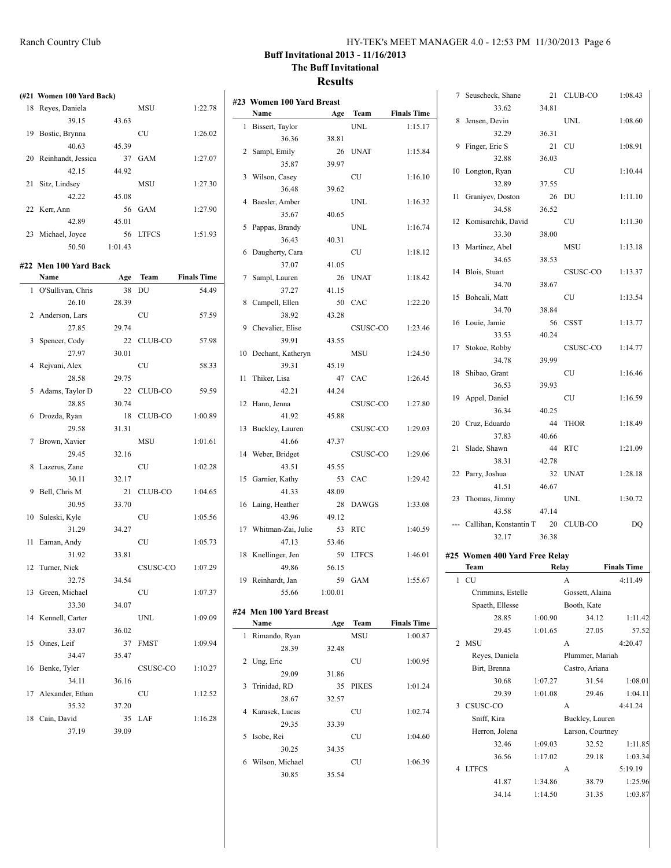| HY-TEK's MEET MANAGER 4.0 - 12:53 PM 11/30/2013 Page 6 |  |  |  |
|--------------------------------------------------------|--|--|--|
|--------------------------------------------------------|--|--|--|

#### **Results**

**Name Age Team Finals Time**

| (#21 Women 100 Yard Back)  |         |                |                    |                           |                |
|----------------------------|---------|----------------|--------------------|---------------------------|----------------|
| 18 Reves, Daniela          |         | MSU            | 1:22.78            | #23 Women 100 Yard Breast |                |
| 39.15                      | 43.63   |                |                    | Name                      | Ag             |
| 19 Bostic, Brynna          |         | <b>CU</b>      | 1:26.02            | 1 Bissert, Taylor         |                |
| 40.63                      | 45.39   |                |                    | 36.36                     | 38.81          |
| 20 Reinhandt, Jessica      | 37      | GAM            | 1:27.07            | 2 Sampl, Emily            | 2 <sub>0</sub> |
| 42.15                      | 44.92   |                |                    | 35.87                     | 39.97          |
| 21 Sitz, Lindsey           |         | <b>MSU</b>     | 1:27.30            | 3 Wilson, Casey           |                |
| 42.22                      | 45.08   |                |                    | 36.48                     | 39.62          |
| 22 Kerr, Ann               | 56      | <b>GAM</b>     | 1:27.90            | 4 Baesler, Amber          |                |
| 42.89                      | 45.01   |                |                    | 35.67                     | 40.65          |
| 23 Michael, Joyce          | 56      | <b>LTFCS</b>   | 1:51.93            | 5 Pappas, Brandy          |                |
| 50.50                      | 1:01.43 |                |                    | 36.43                     | 40.31          |
|                            |         |                |                    | 6 Daugherty, Cara         |                |
| #22 Men 100 Yard Back      |         |                |                    | 37.07                     | 41.05          |
| Name                       | Age     | Team           | <b>Finals Time</b> | 7 Sampl, Lauren           | 2 <sub>0</sub> |
| 1 O'Sullivan, Chris        | 38      | DU             | 54.49              | 37.27                     | 41.15          |
| 26.10                      | 28.39   |                |                    | 8 Campell, Ellen          | 50             |
| 2 Anderson, Lars           |         | <b>CU</b>      | 57.59              | 38.92                     | 43.28          |
| 27.85                      | 29.74   |                |                    | 9 Chevalier, Elise        |                |
| 3 Spencer, Cody            | 22      | <b>CLUB-CO</b> | 57.98              | 39.91                     | 43.55          |
| 27.97                      | 30.01   |                |                    | 10 Dechant, Katheryn      |                |
| 4 Rejvani, Alex            |         | <b>CU</b>      | 58.33              | 39.31                     | 45.19          |
| 28.58                      | 29.75   |                |                    | 11 Thiker, Lisa           | $4^{\circ}$    |
| 5 Adams, Taylor D          | 22      | CLUB-CO        | 59.59              | 42.21                     | 44.24          |
| 28.85                      | 30.74   |                |                    | 12 Hann, Jenna            |                |
| 6 Drozda, Ryan             | 18      | CLUB-CO        | 1:00.89            | 41.92                     | 45.88          |
| 29.58                      | 31.31   |                |                    | 13 Buckley, Lauren        |                |
| 7 Brown, Xavier            |         | <b>MSU</b>     | 1:01.61            | 41.66                     | 47.37          |
| 29.45                      | 32.16   |                |                    | 14 Weber, Bridget         |                |
| 8 Lazerus, Zane            |         | <b>CU</b>      | 1:02.28            | 43.51                     | 45.55          |
| 30.11                      | 32.17   |                |                    | 15 Garnier, Kathy         | 53             |
| 9 Bell, Chris M            | 21      | <b>CLUB-CO</b> | 1:04.65            | 41.33                     | 48.09          |
| 30.95                      | 33.70   |                |                    | 16 Laing, Heather         | 28             |
| 10 Suleski, Kyle           |         | CU             | 1:05.56            | 43.96                     | 49.12          |
| 31.29                      | 34.27   |                |                    | 17 Whitman-Zai, Julie     | 53             |
| 11 Eaman, Andy             |         | CU             | 1:05.73            | 47.13                     | 53.46          |
| 31.92                      | 33.81   |                |                    | 18 Knellinger, Jen        | 59             |
| 12 Turner, Nick            |         | CSUSC-CO       | 1:07.29            | 49.86                     | 56.15          |
| 32.75                      | 34.54   |                |                    | 19 Reinhardt, Jan         | 59             |
|                            |         |                |                    | 55.66                     |                |
| 13 Green, Michael<br>33.30 | 34.07   | CU             | 1:07.37            |                           | 1:00.01        |
|                            |         |                |                    | #24 Men 100 Yard Breast   |                |
| 14 Kennell, Carter         |         | <b>UNL</b>     | 1:09.09            | Name                      | Ag             |
| 33.07                      | 36.02   |                |                    | 1 Rimando, Ryan           |                |
| 15 Oines, Leif             | 37      | <b>FMST</b>    | 1:09.94            | 28.39                     | 32.48          |
| 34.47                      | 35.47   |                |                    | 2 Ung, Eric               |                |
| 16 Benke, Tyler            |         | CSUSC-CO       | 1:10.27            | 29.09                     | 31.86          |
| 34.11                      | 36.16   |                |                    | 3 Trinidad, RD            | 3 <sup>2</sup> |
| 17 Alexander, Ethan        |         | CU             | 1:12.52            | 28.67                     | $32.5^{\circ}$ |
| 35.32                      | 37.20   |                |                    | 4 Karasek, Lucas          |                |
| 18 Cain, David             | 35      | LAF            | 1:16.28            | 29.35                     | 33.39          |
| 37.19                      | 39.09   |                |                    | 5 Isobe, Rei              |                |
|                            |         |                |                    |                           |                |

| 1              | Bissert, Taylor          |             | UNL          | 1:15.17            |
|----------------|--------------------------|-------------|--------------|--------------------|
|                | 36.36                    | 38.81       |              |                    |
| $\overline{c}$ | Sampl, Emily             | 26          | <b>UNAT</b>  | 1:15.84            |
|                | 35.87                    | 39.97       |              |                    |
| 3              | Wilson, Casey            |             | <b>CU</b>    | 1:16.10            |
|                | 36.48                    | 39.62       |              |                    |
| $\overline{4}$ | Baesler, Amber           |             | <b>UNL</b>   | 1:16.32            |
|                | 35.67                    | 40.65       |              |                    |
| 5              | Pappas, Brandy           |             | <b>UNL</b>   | 1:16.74            |
|                | 36.43                    | 40.31       |              |                    |
| 6              | Daugherty, Cara          |             | <b>CU</b>    | 1:18.12            |
|                | 37.07                    | 41.05       |              |                    |
| 7              | Sampl, Lauren            | 26          | <b>UNAT</b>  | 1:18.42            |
|                | 37.27                    | 41.15       |              |                    |
| 8              | Campell, Ellen           | 50          | CAC          | 1:22.20            |
|                | 38.92                    | 43.28       |              |                    |
| 9              | Chevalier, Elise         |             | CSUSC-CO     | 1:23.46            |
|                | 39.91                    | 43.55       |              |                    |
| 10             | Dechant, Katheryn        |             | MSU          | 1:24.50            |
|                | 39.31                    | 45.19       |              |                    |
| 11             | Thiker, Lisa             | 47          | CAC          | 1:26.45            |
|                | 42.21                    | 44.24       |              |                    |
| 12             | Hann, Jenna              |             | CSUSC-CO     | 1:27.80            |
|                | 41.92                    | 45.88       |              |                    |
| 13             | Buckley, Lauren          |             | CSUSC-CO     | 1:29.03            |
|                | 41.66                    | 47.37       |              |                    |
| 14             | Weber, Bridget           |             | CSUSC-CO     | 1:29.06            |
|                |                          |             |              |                    |
|                | 43.51                    | 45.55       |              |                    |
| 15             |                          |             | CAC          |                    |
|                | Garnier, Kathy<br>41.33  | 53<br>48.09 |              | 1:29.42            |
| 16             | Laing, Heather           | 28          | <b>DAWGS</b> | 1:33.08            |
|                | 43.96                    | 49.12       |              |                    |
| 17             | Whitman-Zai, Julie       | 53          | <b>RTC</b>   | 1:40.59            |
|                | 47.13                    | 53.46       |              |                    |
| 18             |                          |             | <b>LTFCS</b> | 1:46.01            |
|                | Knellinger, Jen<br>49.86 | 59          |              |                    |
| 19             | Reinhardt, Jan           | 56.15<br>59 | <b>GAM</b>   |                    |
|                | 55.66                    | 1:00.01     |              | 1:55.67            |
|                |                          |             |              |                    |
| #24            | Men 100 Yard Breast      |             |              |                    |
|                | Name                     | Age         | Team         | <b>Finals Time</b> |
| 1              | Rimando, Ryan            |             | MSU          | 1:00.87            |
|                | 28.39                    | 32.48       |              |                    |
| $\overline{c}$ | Ung, Eric                |             | CU           | 1:00.95            |
|                | 29.09                    | 31.86       |              |                    |
| 3              | Trinidad, RD             | 35          | PIKES        | 1:01.24            |
|                | 28.67                    | 32.57       |              |                    |
| 4              | Karasek, Lucas           |             | CU           | 1:02.74            |
|                | 29.35                    | 33.39       |              |                    |
| 5              | Isobe, Rei               |             | CU           | 1:04.60            |
|                | 30.25                    | 34.35       |              |                    |
| 6              | Wilson, Michael<br>30.85 | 35.54       | CU           | 1:06.39            |

| 7              | Seuscheck, Shane              | 21      | CLUB-CO          | 1:08.43            |
|----------------|-------------------------------|---------|------------------|--------------------|
|                | 33.62                         | 34.81   |                  |                    |
| 8              | Jensen, Devin                 |         | <b>UNL</b>       | 1:08.60            |
|                | 32.29                         | 36.31   |                  |                    |
| 9              | Finger, Eric S                | 21      | CU               | 1:08.91            |
|                | 32.88                         | 36.03   |                  |                    |
| 10             | Longton, Ryan                 |         | CU               | 1:10.44            |
|                | 32.89                         | 37.55   |                  |                    |
|                |                               |         |                  |                    |
| 11             | Graniyev, Doston              | 26      | DU               | 1:11.10            |
|                | 34.58                         | 36.52   |                  |                    |
| 12             | Komisarchik, David            |         | CU               | 1:11.30            |
|                | 33.30                         | 38.00   |                  |                    |
| 13             | Martinez, Abel                |         | MSU              | 1:13.18            |
|                | 34.65                         | 38.53   |                  |                    |
| 14             | Blois, Stuart                 |         | CSUSC-CO         | 1:13.37            |
|                | 34.70                         | 38.67   |                  |                    |
|                | 15 Bohcali, Matt              |         | CU               | 1:13.54            |
|                | 34.70                         | 38.84   |                  |                    |
| 16             | Louie, Jamie                  | 56      | CSST             | 1:13.77            |
|                | 33.53                         | 40.24   |                  |                    |
| 17             | Stokoe, Robby                 |         | CSUSC-CO         | 1:14.77            |
|                | 34.78                         | 39.99   |                  |                    |
| 18             | Shibao, Grant                 |         | CU               | 1:16.46            |
|                | 36.53                         | 39.93   |                  |                    |
| 19             | Appel, Daniel                 |         | CU               | 1:16.59            |
|                |                               |         |                  |                    |
|                | 36.34                         | 40.25   |                  |                    |
|                | 20 Cruz, Eduardo              | 44      | <b>THOR</b>      | 1:18.49            |
|                | 37.83                         | 40.66   |                  |                    |
| 21             | Slade, Shawn                  | 44      | <b>RTC</b>       | 1:21.09            |
|                | 38.31                         | 42.78   |                  |                    |
| 22             | Parry, Joshua                 | 32      | <b>UNAT</b>      | 1:28.18            |
|                | 41.51                         | 46.67   |                  |                    |
| 23             | Thomas, Jimmy                 |         | <b>UNL</b>       | 1:30.72            |
|                | 43.58                         | 47.14   |                  |                    |
|                | --- Callihan, Konstantin T 20 |         | CLUB-CO          | DQ                 |
|                | 32.17                         | 36.38   |                  |                    |
|                | #25 Women 400 Yard Free Relay |         |                  |                    |
|                | Team                          | Relay   |                  | <b>Finals Time</b> |
| 1              | CU                            |         | A                | 4:11.49            |
|                | Crimmins, Estelle             |         | Gossett, Alaina  |                    |
|                | Spaeth, Ellesse               |         | Booth, Kate      |                    |
|                | 28.85                         | 1:00.90 | 34.12            | 1:11.42            |
|                | 29.45                         | 1:01.65 | 27.05            | 57.52              |
| $\overline{2}$ | <b>MSU</b>                    |         | A                | 4:20.47            |
|                | Reves, Daniela                |         |                  |                    |
|                |                               |         | Plummer, Mariah  |                    |
|                | Birt, Brenna<br>30.68         |         | Castro, Ariana   |                    |
|                |                               | 1:07.27 | 31.54            | 1:08.01            |
|                | 29.39                         | 1:01.08 | 29.46            | 1:04.11            |
| 3              | CSUSC-CO                      |         | A                | 4:41.24            |
|                | Sniff, Kira                   |         | Buckley, Lauren  |                    |
|                | Herron, Jolena                |         | Larson, Courtney |                    |
|                | 32.46                         | 1:09.03 | 32.52            | 1:11.85            |
|                | 36.56                         | 1:17.02 | 29.18            | 1:03.34            |
| 4              | <b>LTFCS</b>                  |         | А                | 5:19.19            |
|                | 41.87                         | 1:34.86 | 38.79            | 1:25.96            |
|                | 34.14                         | 1:14.50 | 31.35            | 1:03.87            |